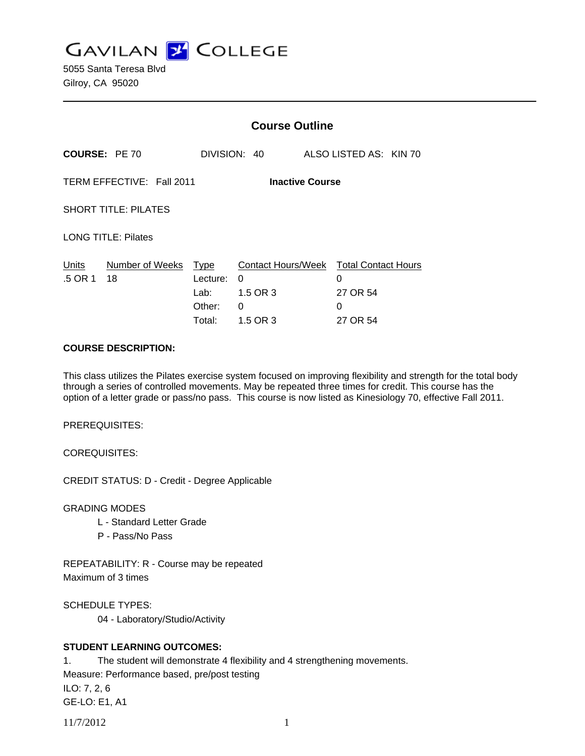**GAVILAN Z COLLEGE** 

5055 Santa Teresa Blvd Gilroy, CA 95020

|                                                     |                       | <b>Course Outline</b>                               |                                                             |                                                              |  |
|-----------------------------------------------------|-----------------------|-----------------------------------------------------|-------------------------------------------------------------|--------------------------------------------------------------|--|
| <b>COURSE: PE 70</b>                                |                       |                                                     | DIVISION: 40                                                | ALSO LISTED AS: KIN 70                                       |  |
| TERM EFFECTIVE: Fall 2011<br><b>Inactive Course</b> |                       |                                                     |                                                             |                                                              |  |
| <b>SHORT TITLE: PILATES</b>                         |                       |                                                     |                                                             |                                                              |  |
| <b>LONG TITLE: Pilates</b>                          |                       |                                                     |                                                             |                                                              |  |
| Units<br>.5 OR 1                                    | Number of Weeks<br>18 | <b>Type</b><br>Lecture:<br>Lab:<br>Other:<br>Total: | <b>Contact Hours/Week</b><br>0<br>1.5 OR 3<br>0<br>1.5 OR 3 | <b>Total Contact Hours</b><br>0<br>27 OR 54<br>0<br>27 OR 54 |  |

## **COURSE DESCRIPTION:**

This class utilizes the Pilates exercise system focused on improving flexibility and strength for the total body through a series of controlled movements. May be repeated three times for credit. This course has the option of a letter grade or pass/no pass. This course is now listed as Kinesiology 70, effective Fall 2011.

PREREQUISITES:

COREQUISITES:

CREDIT STATUS: D - Credit - Degree Applicable

GRADING MODES

- L Standard Letter Grade
- P Pass/No Pass

REPEATABILITY: R - Course may be repeated Maximum of 3 times

SCHEDULE TYPES:

04 - Laboratory/Studio/Activity

# **STUDENT LEARNING OUTCOMES:**

1. The student will demonstrate 4 flexibility and 4 strengthening movements.

Measure: Performance based, pre/post testing ILO: 7, 2, 6 GE-LO: E1, A1

11/7/2012 1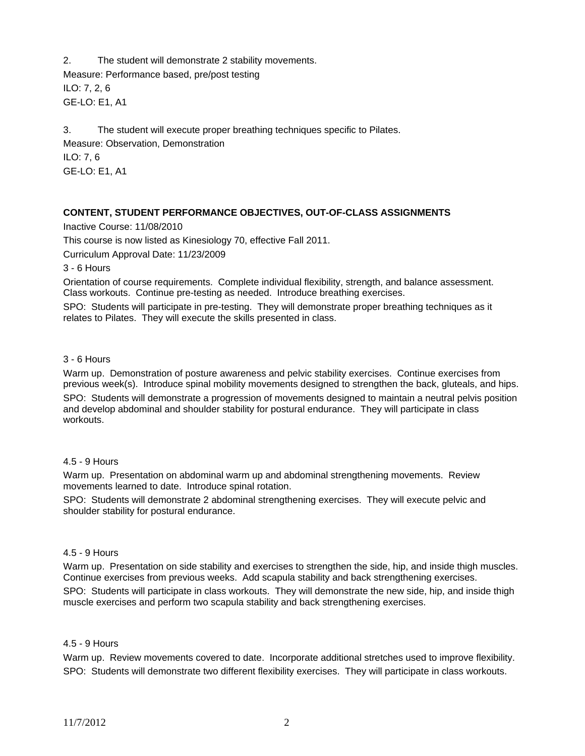2. The student will demonstrate 2 stability movements. Measure: Performance based, pre/post testing ILO: 7, 2, 6 GE-LO: E1, A1

3. The student will execute proper breathing techniques specific to Pilates. Measure: Observation, Demonstration ILO: 7, 6 GE-LO: E1, A1

## **CONTENT, STUDENT PERFORMANCE OBJECTIVES, OUT-OF-CLASS ASSIGNMENTS**

Inactive Course: 11/08/2010

This course is now listed as Kinesiology 70, effective Fall 2011.

Curriculum Approval Date: 11/23/2009

3 - 6 Hours

Orientation of course requirements. Complete individual flexibility, strength, and balance assessment. Class workouts. Continue pre-testing as needed. Introduce breathing exercises.

SPO: Students will participate in pre-testing. They will demonstrate proper breathing techniques as it relates to Pilates. They will execute the skills presented in class.

#### 3 - 6 Hours

Warm up. Demonstration of posture awareness and pelvic stability exercises. Continue exercises from previous week(s). Introduce spinal mobility movements designed to strengthen the back, gluteals, and hips.

SPO: Students will demonstrate a progression of movements designed to maintain a neutral pelvis position and develop abdominal and shoulder stability for postural endurance. They will participate in class workouts.

## 4.5 - 9 Hours

Warm up. Presentation on abdominal warm up and abdominal strengthening movements. Review movements learned to date. Introduce spinal rotation.

SPO: Students will demonstrate 2 abdominal strengthening exercises. They will execute pelvic and shoulder stability for postural endurance.

## 4.5 - 9 Hours

Warm up. Presentation on side stability and exercises to strengthen the side, hip, and inside thigh muscles. Continue exercises from previous weeks. Add scapula stability and back strengthening exercises.

SPO: Students will participate in class workouts. They will demonstrate the new side, hip, and inside thigh muscle exercises and perform two scapula stability and back strengthening exercises.

## 4.5 - 9 Hours

Warm up. Review movements covered to date. Incorporate additional stretches used to improve flexibility. SPO: Students will demonstrate two different flexibility exercises. They will participate in class workouts.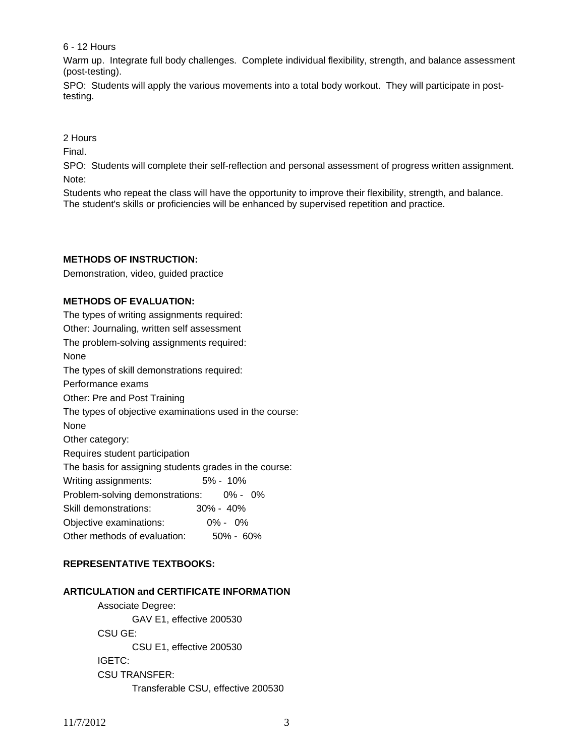## 6 - 12 Hours

Warm up. Integrate full body challenges. Complete individual flexibility, strength, and balance assessment (post-testing).

SPO: Students will apply the various movements into a total body workout. They will participate in posttesting.

## 2 Hours

Final.

SPO: Students will complete their self-reflection and personal assessment of progress written assignment. Note:

Students who repeat the class will have the opportunity to improve their flexibility, strength, and balance. The student's skills or proficiencies will be enhanced by supervised repetition and practice.

# **METHODS OF INSTRUCTION:**

Demonstration, video, guided practice

## **METHODS OF EVALUATION:**

The types of writing assignments required: Other: Journaling, written self assessment The problem-solving assignments required: None The types of skill demonstrations required: Performance exams Other: Pre and Post Training The types of objective examinations used in the course: None Other category: Requires student participation The basis for assigning students grades in the course: Writing assignments: 5% - 10% Problem-solving demonstrations: 0% - 0% Skill demonstrations: 30% - 40% Objective examinations: 0% - 0% Other methods of evaluation: 50% - 60%

# **REPRESENTATIVE TEXTBOOKS:**

## **ARTICULATION and CERTIFICATE INFORMATION**

 Associate Degree: GAV E1, effective 200530 CSU GE: CSU E1, effective 200530 IGETC: CSU TRANSFER: Transferable CSU, effective 200530